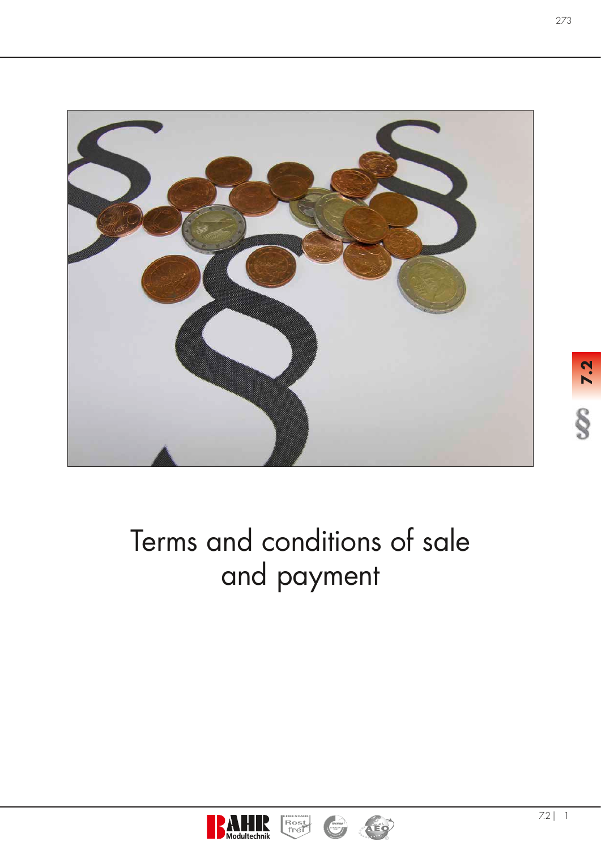

# Terms and conditions of sale and payment





EDELSTAHL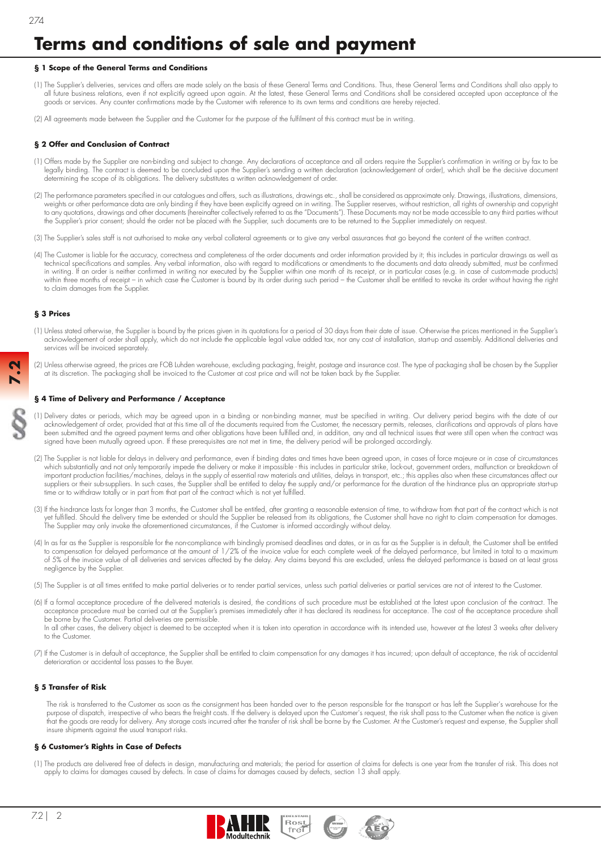# **Terms and conditions of sale and payment**

# **§ 1 Scope of the General Terms and Conditions**

- The Supplier's deliveries, services and offers are made solely on the basis of these General Terms and Conditions. Thus, these General Terms and Conditions shall also apply to all future business relations, even if not explicitly agreed upon again. At the latest, these General Terms and Conditions shall be considered accepted upon acceptance of the goods or services. Any counter confi rmations made by the Customer with reference to its own terms and conditions are hereby rejected.
- (2) All agreements made between the Supplier and the Customer for the purpose of the fulfilment of this contract must be in writing

# **§ 2 Offer and Conclusion of Contract**

- (1) Offers made by the Supplier are non-binding and subject to change. Any declarations of acceptance and all orders require the Supplier's confirmation in writing or by fax to be legally binding. The contract is deemed to be concluded upon the Supplier's sending a written declaration (acknowledgement of order), which shall be the decisive document determining the scope of its obligations. The delivery substitutes a written acknowledgement of order.
- (2) The performance parameters specified in our catalogues and offers, such as illustrations, drawings etc., shall be considered as approximate only. Drawings, illustrations, dimensions, weights or other performance data are only binding if they have been explicitly agreed on in writing. The Supplier reserves, without restriction, all rights of ownership and copyright to any quotations, drawings and other documents (hereinafter collectively referred to as the "Documents"). These Documents may not be made accessible to any third parties without the Supplier's prior consent; should the order not be placed with the Supplier, such documents are to be returned to the Supplier immediately on request.
- (3) The Supplier's sales staff is not authorised to make any verbal collateral agreements or to give any verbal assurances that go beyond the content of the written contract.
- (4) The Customer is liable for the accuracy, correctness and completeness of the order documents and order information provided by it; this includes in particular drawings as well as technical specifications and samples. Any verbal information, also with regard to modifications or amendments to the documents and data already submitted, must be confirmed in writing. If an order is neither confirmed in writing nor executed by the Supplier within one month of its receipt, or in particular cases (e.g. in case of custom-made products) within three months of receipt – in which case the Customer is bound by its order during such period – the Customer shall be entitled to revoke its order without having the right to claim damages from the Supplier.

# **§ 3 Prices**

**7.2**

- (1) Unless stated otherwise, the Supplier is bound by the prices given in its quotations for a period of 30 days from their date of issue. Otherwise the prices mentioned in the Supplier's acknowledgement of order shall apply, which do not include the applicable legal value added tax, nor any cost of installation, start-up and assembly. Additional deliveries and services will be invoiced separately.
- (2) Unless otherwise agreed, the prices are FOB Luhden warehouse, excluding packaging, freight, postage and insurance cost. The type of packaging shall be chosen by the Supplier at its discretion. The packaging shall be invoiced to the Customer at cost price and will not be taken back by the Supplier.

#### **§ 4 Time of Delivery and Performance / Acceptance**

- (1) Delivery dates or periods, which may be agreed upon in a binding or non-binding manner, must be specified in writing. Our delivery period begins with the date of our acknowledgement of order, provided that at this time all of the documents required from the Customer, the necessary permits, releases, clarifications and approvals of plans have been submitted and the agreed payment terms and other obligations have been fulfi lled and, in addition, any and all technical issues that were still open when the contract was signed have been mutually agreed upon. If these prerequisites are not met in time, the delivery period will be prolonged accordingly.
- (2) The Supplier is not liable for delays in delivery and performance, even if binding dates and times have been agreed upon, in cases of force majeure or in case of circumstances which substantially and not only temporarily impede the delivery or make it impossible - this includes in particular strike, lock-out, government orders, malfunction or breakdown of important production facilities/machines, delays in the supply of essential raw materials and utilities, delays in transport, etc.; this applies also when these circumstances affect our suppliers or their sub-suppliers. In such cases, the Supplier shall be entitled to delay the supply and/or performance for the duration of the hindrance plus an appropriate start-up time or to withdraw totally or in part from that part of the contract which is not yet fulfilled.
- (3) If the hindrance lasts for longer than 3 months, the Customer shall be entitled, after granting a reasonable extension of time, to withdraw from that part of the contract which is not yet fulfi lled. Should the delivery time be extended or should the Supplier be released from its obligations, the Customer shall have no right to claim compensation for damages. The Supplier may only invoke the aforementioned circumstances, if the Customer is informed accordingly without delay.
- (4) In as far as the Supplier is responsible for the non-compliance with bindingly promised deadlines and dates, or in as far as the Supplier is in default, the Customer shall be entitled to compensation for delayed performance at the amount of 1/2% of the invoice value for each complete week of the delayed performance, but limited in total to a maximum of 5% of the invoice value of all deliveries and services affected by the delay. Any claims beyond this are excluded, unless the delayed performance is based on at least gross negligence by the Supplier.
- (5) The Supplier is at all times entitled to make partial deliveries or to render partial services, unless such partial deliveries or partial services are not of interest to the Customer.
- (6) If a formal acceptance procedure of the delivered materials is desired, the conditions of such procedure must be established at the latest upon conclusion of the contract. The acceptance procedure must be carried out at the Supplier's premises immediately after it has declared its readiness for acceptance. The cost of the acceptance procedure shall be borne by the Customer. Partial deliveries are permissible. In all other cases, the delivery object is deemed to be accepted when it is taken into operation in accordance with its intended use, however at the latest 3 weeks after delivery to the Customer.
- (7) If the Customer is in default of acceptance, the Supplier shall be entitled to claim compensation for any damages it has incurred; upon default of acceptance, the risk of accidental deterioration or accidental loss passes to the Buyer.

# **§ 5 Transfer of Risk**

 The risk is transferred to the Customer as soon as the consignment has been handed over to the person responsible for the transport or has left the Supplier's warehouse for the purpose of dispatch, irrespective of who bears the freight costs. If the delivery is delayed upon the Customer's request, the risk shall pass to the Customer when the notice is given that the goods are ready for delivery. Any storage costs incurred after the transfer of risk shall be borne by the Customer. At the Customer's request and expense, the Supplier shall insure shipments against the usual transport risks.

#### **§ 6 Customer's Rights in Case of Defects**

(1) The products are delivered free of defects in design, manufacturing and materials; the period for assertion of claims for defects is one year from the transfer of risk. This does not apply to claims for damages caused by defects. In case of claims for damages caused by defects, section 13 shall apply.

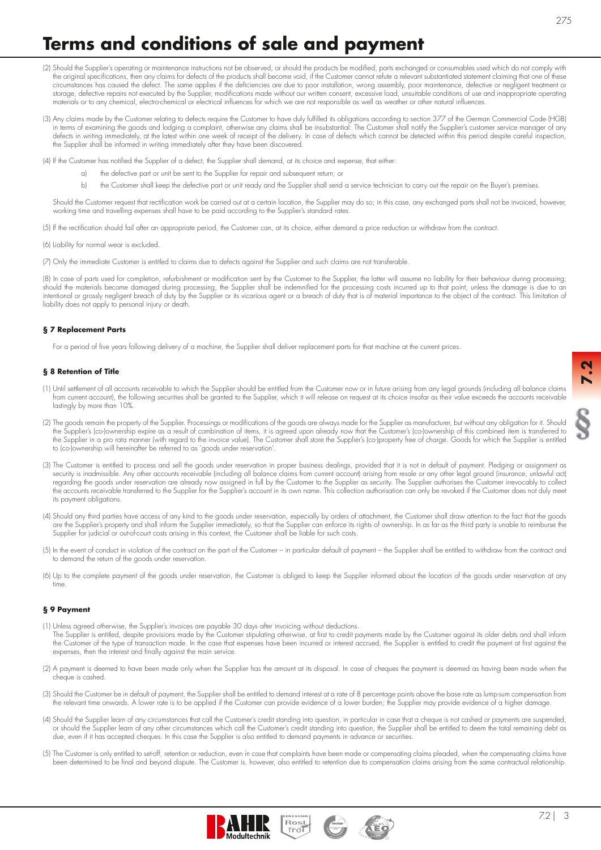**7.2**

# **Terms and conditions of sale and payment**

- (2) Should the Supplier's operating or maintenance instructions not be observed, or should the products be modified, parts exchanged or consumables used which do not comply with the original specifications, then any claims for defects of the products shall become void, if the Customer cannot refute a relevant substantiated statement claiming that one of these circumstances has caused the defect. The same applies if the deficiencies are due to poor installation, wrong assembly, poor maintenance, defective or negligent treatment or storage, defective repairs not executed by the Supplier, modifications made without our written consent, excessive load, unsuitable conditions of use and inappropriate operating materials or to any chemical, electro-chemical or electrical influences for which we are not responsible as well as weather or other natural influences
- (3) Any claims made by the Customer relating to defects require the Customer to have duly fulfi lled its obligations according to section 377 of the German Commercial Code (HGB) in terms of examining the goods and lodging a complaint, otherwise any claims shall be insubstantial: The Customer shall notify the Supplier's customer service manager of any defects in writing immediately, at the latest within one week of receipt of the delivery. In case of defects which cannot be detected within this period despite careful inspection, the Supplier shall be informed in writing immediately after they have been discovered

(4) If the Customer has notified the Supplier of a defect, the Supplier shall demand, at its choice and expense, that either:

- a) the defective part or unit be sent to the Supplier for repair and subsequent return; or
- b) the Customer shall keep the defective part or unit ready and the Supplier shall send a service technician to carry out the repair on the Buyer's premises.

Should the Customer request that rectification work be carried out at a certain location, the Supplier may do so; in this case, any exchanged parts shall not be invoiced, however, working time and travelling expenses shall have to be paid according to the Supplier's standard rates.

(5) If the rectification should fail after an appropriate period, the Customer can, at its choice, either demand a price reduction or withdraw from the contract.

(6) Liability for normal wear is excluded.

(7) Only the immediate Customer is entitled to claims due to defects against the Supplier and such claims are not transferable.

(8) In case ot parts used tor completion, returbishment or moditication sent by the Customer to the Supplier, the latter will assume no liability tor their behaviour during processing; should the materials become damaged during processing, the Supplier shall be indemnified for the processing costs incurred up to that point, unless the damage is due to an intentional or grossly negligent breach of duty by the Supplier or its vicarious agent or a breach of duty that is of material importance to the object of the contract. This limitation of liability does not apply to personal injury or death.

#### **§ 7 Replacement Parts**

For a period of five years following delivery of a machine, the Supplier shall deliver replacement parts for that machine at the current prices.

#### **§ 8 Retention of Title**

- (1) Until settlement of all accounts receivable to which the Supplier should be entitled from the Customer now or in future arising from any legal grounds (including all balance claims from current account), the following securities shall be granted to the Supplier, which it will release on request at its choice insofar as their value exceeds the accounts receivable lastingly by more than 10%.
- (2) The goods remain the property of the Supplier. Processings or modifications of the goods are always made for the Supplier as manufacturer, but without any obligation for it. Should the Supplier's (co-)ownership expire as a result of combination of items, it is agreed upon already now that the Customer's (co-)ownership of this combined item is transferred to the Supplier in a pro rata manner (with regard to the invoice value). The Customer shall store the Supplier's (co-)property free of charge. Goods for which the Supplier is entitled to (co-)ownership will hereinafter be referred to as 'goods under reservation'.
- (3) The Customer is entitled to process and sell the goods under reservation in proper business dealings, provided that it is not in default of payment. Pledging or assignment as security is inadmissible. Any other accounts receivable (including all balance claims from current account) arising from resale or any other legal ground (insurance, unlawful act) regarding the goods under reservation are already now assigned in full by the Customer to the Supplier as security. The Supplier authorises the Customer irrevocably to collect the accounts receivable transferred to the Supplier for the Supplier's account in its own name. This collection authorisation can only be revoked if the Customer does not duly meet its payment obligations.
- (4) Should any third parties have access of any kind to the goods under reservation, especially by orders of attachment, the Customer shall draw attention to the fact that the goods are the Supplier's property and shall inform the Supplier immediately, so that the Supplier can enforce its rights of ownership. In as far as the third party is unable to reimburse the Supplier for judicial or out-of-court costs arising in this context, the Customer shall be liable for such costs.
- (5) In the event of conduct in violation of the contract on the part of the Customer in particular default of payment the Supplier shall be entitled to withdraw from the contract and to demand the return of the goods under reservation.
- (6) Up to the complete payment of the goods under reservation, the Customer is obliged to keep the Supplier informed about the location of the goods under reservation at any time.

# **§ 9 Payment**

- (1) Unless agreed otherwise, the Supplier's invoices are payable 30 days after invoicing without deductions. The Supplier is entitled, despite provisions made by the Customer stipulating otherwise, at first to credit payments made by the Customer against its older debts and shall inform the Customer of the type of transaction made. In the case that expenses have been incurred or interest accrued, the Supplier is entitled to credit the payment at first against the expenses, then the interest and finally against the main service.
- (2) A payment is deemed to have been made only when the Supplier has the amount at its disposal. In case of cheques the payment is deemed as having been made when the cheque is cashed.
- (3) Should the Customer be in default of payment, the Supplier shall be entitled to demand interest at a rate of 8 percentage points above the base rate as lump-sum compensation from the relevant time onwards. A lower rate is to be applied if the Customer can provide evidence of a lower burden; the Supplier may provide evidence of a higher damage.
- (4) Should the Supplier learn of any circumstances that call the Customer's credit standing into question, in particular in case that a cheque is not cashed or payments are suspended, or should the Supplier learn of any other circumstances which call the Customer's credit standing into question, the Supplier shall be entitled to deem the total remaining debt as due, even if it has accepted cheques. In this case the Supplier is also entitled to demand payments in advance or securities.
- (5) The Customer is only entitled to set-off, retention or reduction, even in case that complaints have been made or compensating claims pleaded, when the compensating claims have been determined to be final and beyond dispute. The Customer is, however, also entitled to retention due to compensation claims arising from the same contractual relationship.

Rost<br>frei